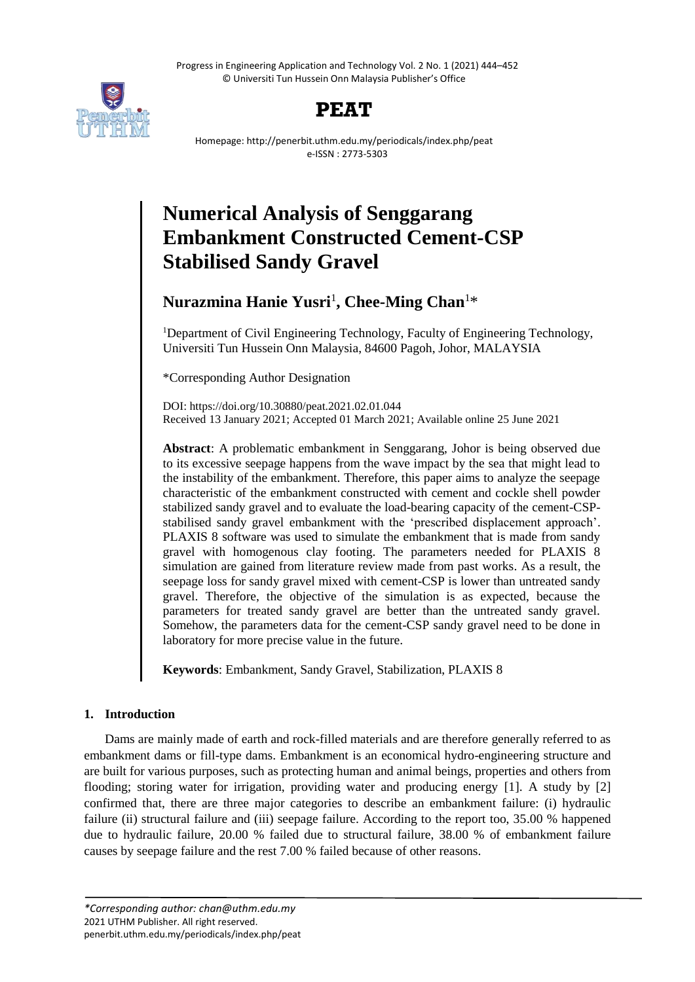Progress in Engineering Application and Technology Vol. 2 No. 1 (2021) 444–452 © Universiti Tun Hussein Onn Malaysia Publisher's Office





Homepage: http://penerbit.uthm.edu.my/periodicals/index.php/peat e-ISSN : 2773-5303

# **Numerical Analysis of Senggarang Embankment Constructed Cement-CSP Stabilised Sandy Gravel**

# **Nurazmina Hanie Yusri**<sup>1</sup> **, Chee-Ming Chan**<sup>1</sup>\*

<sup>1</sup>Department of Civil Engineering Technology, Faculty of Engineering Technology, Universiti Tun Hussein Onn Malaysia, 84600 Pagoh, Johor, MALAYSIA

\*Corresponding Author Designation

DOI: https://doi.org/10.30880/peat.2021.02.01.044 Received 13 January 2021; Accepted 01 March 2021; Available online 25 June 2021

**Abstract**: A problematic embankment in Senggarang, Johor is being observed due to its excessive seepage happens from the wave impact by the sea that might lead to the instability of the embankment. Therefore, this paper aims to analyze the seepage characteristic of the embankment constructed with cement and cockle shell powder stabilized sandy gravel and to evaluate the load-bearing capacity of the cement-CSPstabilised sandy gravel embankment with the 'prescribed displacement approach'. PLAXIS 8 software was used to simulate the embankment that is made from sandy gravel with homogenous clay footing. The parameters needed for PLAXIS 8 simulation are gained from literature review made from past works. As a result, the seepage loss for sandy gravel mixed with cement-CSP is lower than untreated sandy gravel. Therefore, the objective of the simulation is as expected, because the parameters for treated sandy gravel are better than the untreated sandy gravel. Somehow, the parameters data for the cement-CSP sandy gravel need to be done in laboratory for more precise value in the future.

**Keywords**: Embankment, Sandy Gravel, Stabilization, PLAXIS 8

# **1. Introduction**

Dams are mainly made of earth and rock-filled materials and are therefore generally referred to as embankment dams or fill-type dams. Embankment is an economical hydro-engineering structure and are built for various purposes, such as protecting human and animal beings, properties and others from flooding; storing water for irrigation, providing water and producing energy [1]. A study by [2] confirmed that, there are three major categories to describe an embankment failure: (i) hydraulic failure (ii) structural failure and (iii) seepage failure. According to the report too, 35.00 % happened due to hydraulic failure, 20.00 % failed due to structural failure, 38.00 % of embankment failure causes by seepage failure and the rest 7.00 % failed because of other reasons.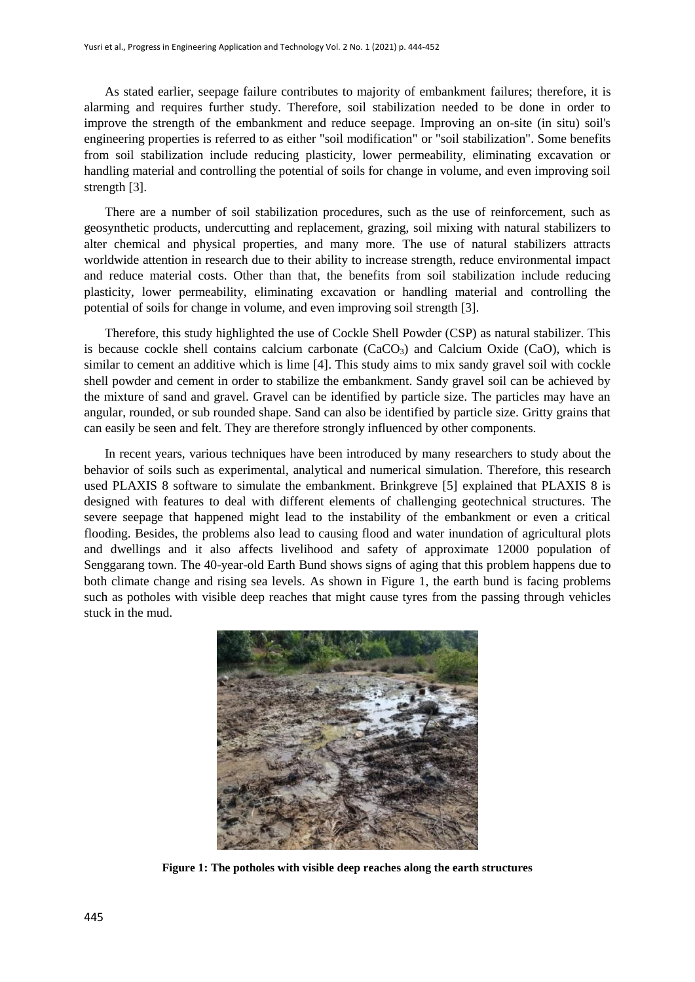As stated earlier, seepage failure contributes to majority of embankment failures; therefore, it is alarming and requires further study. Therefore, soil stabilization needed to be done in order to improve the strength of the embankment and reduce seepage. Improving an on-site (in situ) soil's engineering properties is referred to as either "soil modification" or "soil stabilization". Some benefits from soil stabilization include reducing plasticity, lower permeability, eliminating excavation or handling material and controlling the potential of soils for change in volume, and even improving soil strength [3].

There are a number of soil stabilization procedures, such as the use of reinforcement, such as geosynthetic products, undercutting and replacement, grazing, soil mixing with natural stabilizers to alter chemical and physical properties, and many more. The use of natural stabilizers attracts worldwide attention in research due to their ability to increase strength, reduce environmental impact and reduce material costs. Other than that, the benefits from soil stabilization include reducing plasticity, lower permeability, eliminating excavation or handling material and controlling the potential of soils for change in volume, and even improving soil strength [3].

Therefore, this study highlighted the use of Cockle Shell Powder (CSP) as natural stabilizer. This is because cockle shell contains calcium carbonate  $(CaCO<sub>3</sub>)$  and Calcium Oxide  $(CaO)$ , which is similar to cement an additive which is lime [4]. This study aims to mix sandy gravel soil with cockle shell powder and cement in order to stabilize the embankment. Sandy gravel soil can be achieved by the mixture of sand and gravel. Gravel can be identified by particle size. The particles may have an angular, rounded, or sub rounded shape. Sand can also be identified by particle size. Gritty grains that can easily be seen and felt. They are therefore strongly influenced by other components.

In recent years, various techniques have been introduced by many researchers to study about the behavior of soils such as experimental, analytical and numerical simulation. Therefore, this research used PLAXIS 8 software to simulate the embankment. Brinkgreve [5] explained that PLAXIS 8 is designed with features to deal with different elements of challenging geotechnical structures. The severe seepage that happened might lead to the instability of the embankment or even a critical flooding. Besides, the problems also lead to causing flood and water inundation of agricultural plots and dwellings and it also affects livelihood and safety of approximate 12000 population of Senggarang town. The 40-year-old Earth Bund shows signs of aging that this problem happens due to both climate change and rising sea levels. As shown in Figure 1, the earth bund is facing problems such as potholes with visible deep reaches that might cause tyres from the passing through vehicles stuck in the mud.



**Figure 1: The potholes with visible deep reaches along the earth structures**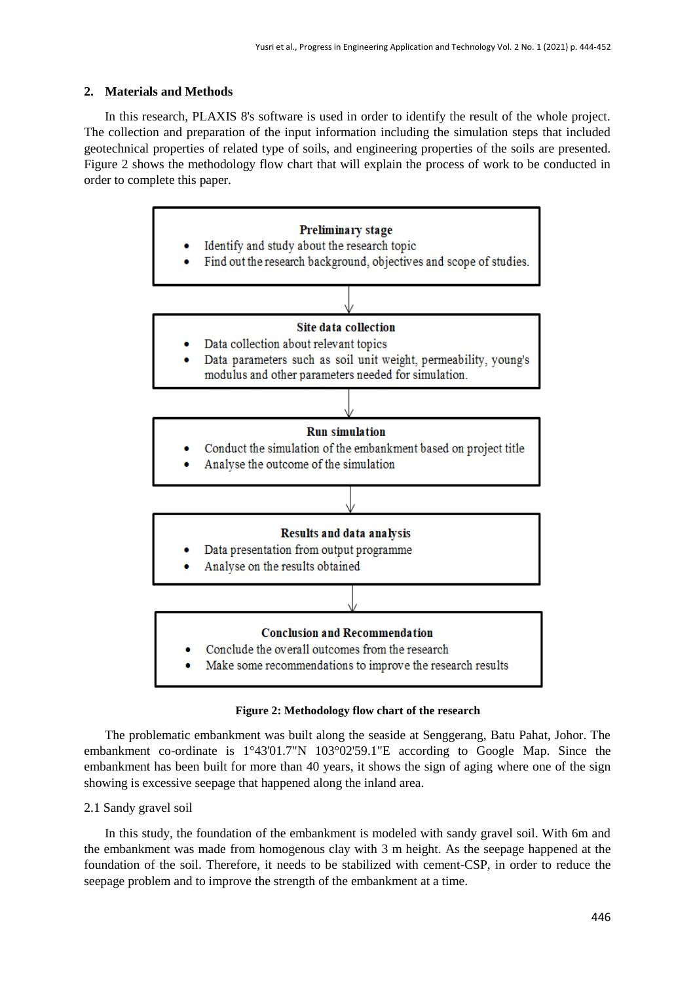# **2. Materials and Methods**

In this research, PLAXIS 8's software is used in order to identify the result of the whole project. The collection and preparation of the input information including the simulation steps that included geotechnical properties of related type of soils, and engineering properties of the soils are presented. Figure 2 shows the methodology flow chart that will explain the process of work to be conducted in order to complete this paper.



#### **Figure 2: Methodology flow chart of the research**

The problematic embankment was built along the seaside at Senggerang, Batu Pahat, Johor. The embankment co-ordinate is 1°43'01.7"N 103°02'59.1"E according to Google Map. Since the embankment has been built for more than 40 years, it shows the sign of aging where one of the sign showing is excessive seepage that happened along the inland area.

# 2.1 Sandy gravel soil

In this study, the foundation of the embankment is modeled with sandy gravel soil. With 6m and the embankment was made from homogenous clay with 3 m height. As the seepage happened at the foundation of the soil. Therefore, it needs to be stabilized with cement-CSP, in order to reduce the seepage problem and to improve the strength of the embankment at a time.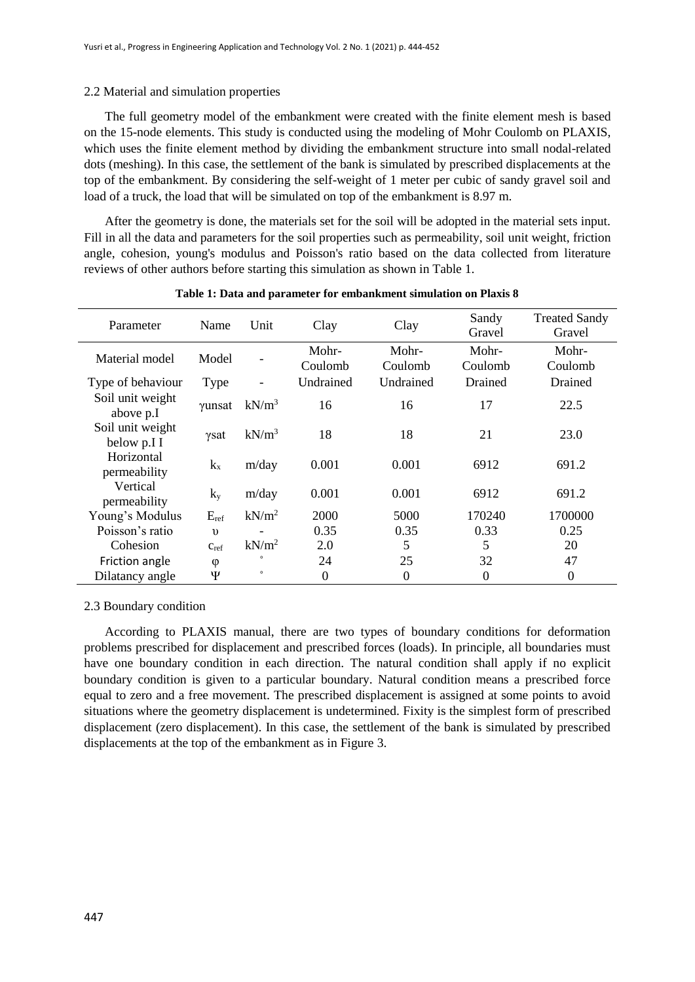# 2.2 Material and simulation properties

The full geometry model of the embankment were created with the finite element mesh is based on the 15-node elements. This study is conducted using the modeling of Mohr Coulomb on PLAXIS, which uses the finite element method by dividing the embankment structure into small nodal-related dots (meshing). In this case, the settlement of the bank is simulated by prescribed displacements at the top of the embankment. By considering the self-weight of 1 meter per cubic of sandy gravel soil and load of a truck, the load that will be simulated on top of the embankment is 8.97 m.

After the geometry is done, the materials set for the soil will be adopted in the material sets input. Fill in all the data and parameters for the soil properties such as permeability, soil unit weight, friction angle, cohesion, young's modulus and Poisson's ratio based on the data collected from literature reviews of other authors before starting this simulation as shown in Table 1.

| Parameter                       | Name       | Unit              | Clay      | Clay      | Sandy<br>Gravel  | <b>Treated Sandy</b><br>Gravel |
|---------------------------------|------------|-------------------|-----------|-----------|------------------|--------------------------------|
| Material model                  | Model      |                   | Mohr-     | Mohr-     | Mohr-            | Mohr-                          |
|                                 |            |                   | Coulomb   | Coulomb   | Coulomb          | Coulomb                        |
| Type of behaviour               | Type       |                   | Undrained | Undrained | Drained          | Drained                        |
| Soil unit weight<br>above p.I   | γunsat     | $kN/m^3$          | 16        | 16        | 17               | 22.5                           |
| Soil unit weight<br>below p.I I | γsat       | $kN/m^3$          | 18        | 18        | 21               | 23.0                           |
| Horizontal<br>permeability      | $k_{x}$    | m/day             | 0.001     | 0.001     | 6912             | 691.2                          |
| Vertical<br>permeability        | $k_v$      | m/day             | 0.001     | 0.001     | 6912             | 691.2                          |
| Young's Modulus                 | $E_{ref}$  | kN/m <sup>2</sup> | 2000      | 5000      | 170240           | 1700000                        |
| Poisson's ratio                 | $\upsilon$ |                   | 0.35      | 0.35      | 0.33             | 0.25                           |
| Cohesion                        | Cref       | $kN/m^2$          | 2.0       | 5         | 5                | 20                             |
| Friction angle                  | φ          |                   | 24        | 25        | 32               | 47                             |
| Dilatancy angle                 | Ψ          | $\circ$           | 0         | $\theta$  | $\boldsymbol{0}$ | $\overline{0}$                 |

#### **Table 1: Data and parameter for embankment simulation on Plaxis 8**

# 2.3 Boundary condition

According to PLAXIS manual, there are two types of boundary conditions for deformation problems prescribed for displacement and prescribed forces (loads). In principle, all boundaries must have one boundary condition in each direction. The natural condition shall apply if no explicit boundary condition is given to a particular boundary. Natural condition means a prescribed force equal to zero and a free movement. The prescribed displacement is assigned at some points to avoid situations where the geometry displacement is undetermined. Fixity is the simplest form of prescribed displacement (zero displacement). In this case, the settlement of the bank is simulated by prescribed displacements at the top of the embankment as in Figure 3.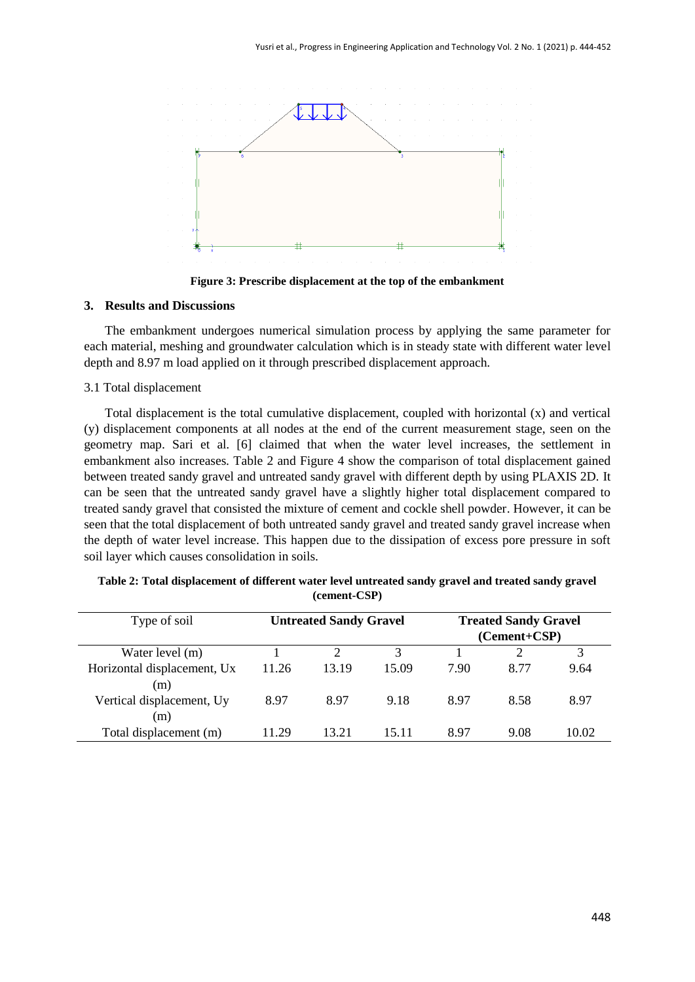

**Figure 3: Prescribe displacement at the top of the embankment**

#### **3. Results and Discussions**

The embankment undergoes numerical simulation process by applying the same parameter for each material, meshing and groundwater calculation which is in steady state with different water level depth and 8.97 m load applied on it through prescribed displacement approach.

# 3.1 Total displacement

Total displacement is the total cumulative displacement, coupled with horizontal (x) and vertical (y) displacement components at all nodes at the end of the current measurement stage, seen on the geometry map. Sari et al. [6] claimed that when the water level increases, the settlement in embankment also increases. Table 2 and Figure 4 show the comparison of total displacement gained between treated sandy gravel and untreated sandy gravel with different depth by using PLAXIS 2D. It can be seen that the untreated sandy gravel have a slightly higher total displacement compared to treated sandy gravel that consisted the mixture of cement and cockle shell powder. However, it can be seen that the total displacement of both untreated sandy gravel and treated sandy gravel increase when the depth of water level increase. This happen due to the dissipation of excess pore pressure in soft soil layer which causes consolidation in soils.

| Type of soil                       |       | <b>Untreated Sandy Gravel</b> |       |      | <b>Treated Sandy Gravel</b><br>$(Cement+CSP)$ |       |
|------------------------------------|-------|-------------------------------|-------|------|-----------------------------------------------|-------|
| Water level (m)                    |       |                               |       |      |                                               |       |
| Horizontal displacement, Ux<br>(m) | 11.26 | 13.19                         | 15.09 | 7.90 | 8.77                                          | 9.64  |
| Vertical displacement, Uy<br>(m)   | 8.97  | 8.97                          | 9.18  | 8.97 | 8.58                                          | 8.97  |
| Total displacement (m)             | 11.29 | 13.21                         | 15 11 | 897  | 9.08                                          | 10.02 |

**Table 2: Total displacement of different water level untreated sandy gravel and treated sandy gravel (cement-CSP)**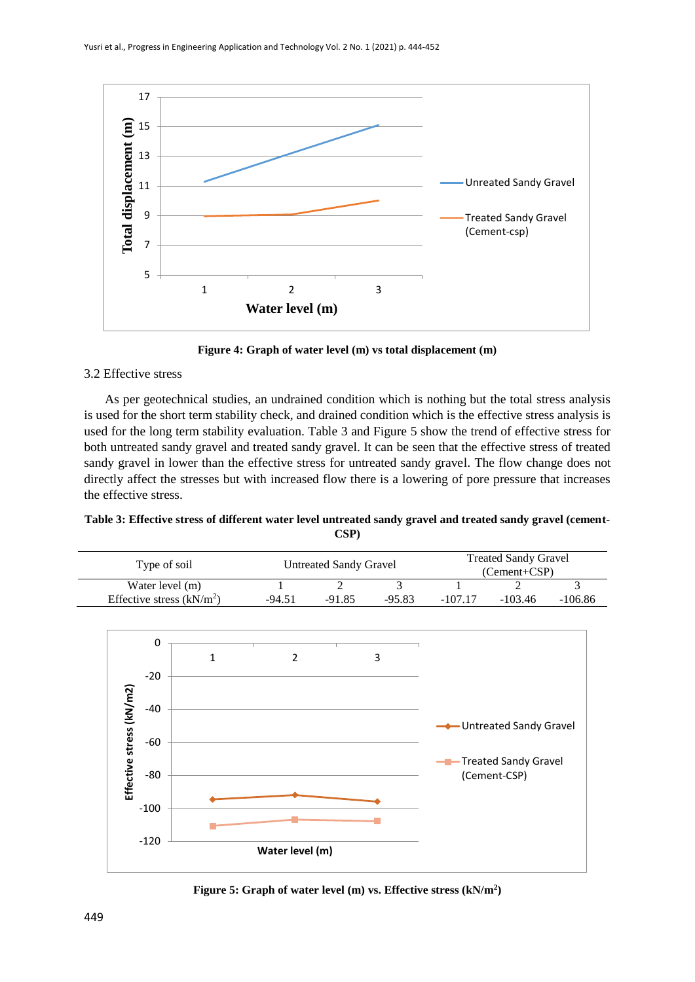

**Figure 4: Graph of water level (m) vs total displacement (m)**

# 3.2 Effective stress

As per geotechnical studies, an undrained condition which is nothing but the total stress analysis is used for the short term stability check, and drained condition which is the effective stress analysis is used for the long term stability evaluation. Table 3 and Figure 5 show the trend of effective stress for both untreated sandy gravel and treated sandy gravel. It can be seen that the effective stress of treated sandy gravel in lower than the effective stress for untreated sandy gravel. The flow change does not directly affect the stresses but with increased flow there is a lowering of pore pressure that increases the effective stress.

**Table 3: Effective stress of different water level untreated sandy gravel and treated sandy gravel (cement-CSP)**

| Type of soil                                  | Untreated Sandy Gravel |          |          | <b>Treated Sandy Gravel</b><br>(Cement+CSP) |           |           |
|-----------------------------------------------|------------------------|----------|----------|---------------------------------------------|-----------|-----------|
| Water level (m)<br>Effective stress $(kN/m2)$ | -94.51                 | $-91.85$ | $-95.83$ | $-107.17$                                   | $-103.46$ | $-106.86$ |
|                                               |                        |          |          |                                             |           |           |



**Figure 5: Graph of water level (m) vs. Effective stress (kN/m<sup>2</sup> )**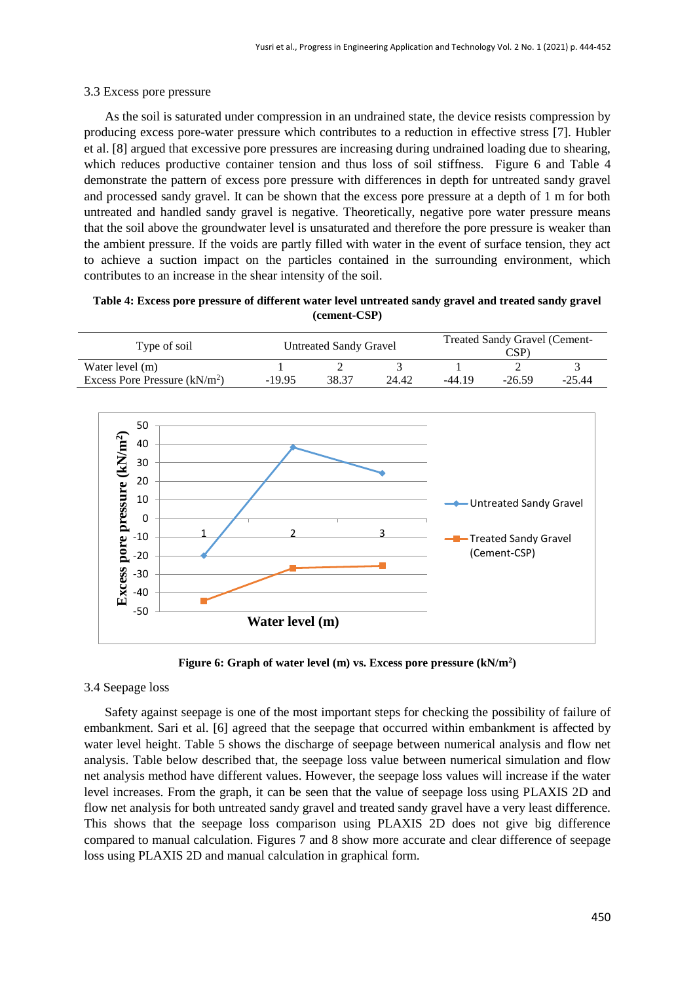#### 3.3 Excess pore pressure

As the soil is saturated under compression in an undrained state, the device resists compression by producing excess pore-water pressure which contributes to a reduction in effective stress [7]. Hubler et al. [8] argued that excessive pore pressures are increasing during undrained loading due to shearing, which reduces productive container tension and thus loss of soil stiffness. Figure 6 and Table 4 demonstrate the pattern of excess pore pressure with differences in depth for untreated sandy gravel and processed sandy gravel. It can be shown that the excess pore pressure at a depth of 1 m for both untreated and handled sandy gravel is negative. Theoretically, negative pore water pressure means that the soil above the groundwater level is unsaturated and therefore the pore pressure is weaker than the ambient pressure. If the voids are partly filled with water in the event of surface tension, they act to achieve a suction impact on the particles contained in the surrounding environment, which contributes to an increase in the shear intensity of the soil.

**Table 4: Excess pore pressure of different water level untreated sandy gravel and treated sandy gravel (cement-CSP)**

| Type of soil                   |          | Untreated Sandy Gravel |       | <b>Treated Sandy Gravel (Cement-</b><br>$\mathbb{C}\mathbf{SP}^n$ |          |          |  |
|--------------------------------|----------|------------------------|-------|-------------------------------------------------------------------|----------|----------|--|
| Water level (m)                |          |                        |       |                                                                   | -        |          |  |
| Excess Pore Pressure $(kN/m2)$ | $-19.95$ | 38.37                  | 24.42 | -44.19                                                            | $-26.59$ | $-25.44$ |  |



**Figure 6: Graph of water level (m) vs. Excess pore pressure (kN/m<sup>2</sup> )**

# 3.4 Seepage loss

Safety against seepage is one of the most important steps for checking the possibility of failure of embankment. Sari et al. [6] agreed that the seepage that occurred within embankment is affected by water level height. Table 5 shows the discharge of seepage between numerical analysis and flow net analysis. Table below described that, the seepage loss value between numerical simulation and flow net analysis method have different values. However, the seepage loss values will increase if the water level increases. From the graph, it can be seen that the value of seepage loss using PLAXIS 2D and flow net analysis for both untreated sandy gravel and treated sandy gravel have a very least difference. This shows that the seepage loss comparison using PLAXIS 2D does not give big difference compared to manual calculation. Figures 7 and 8 show more accurate and clear difference of seepage loss using PLAXIS 2D and manual calculation in graphical form.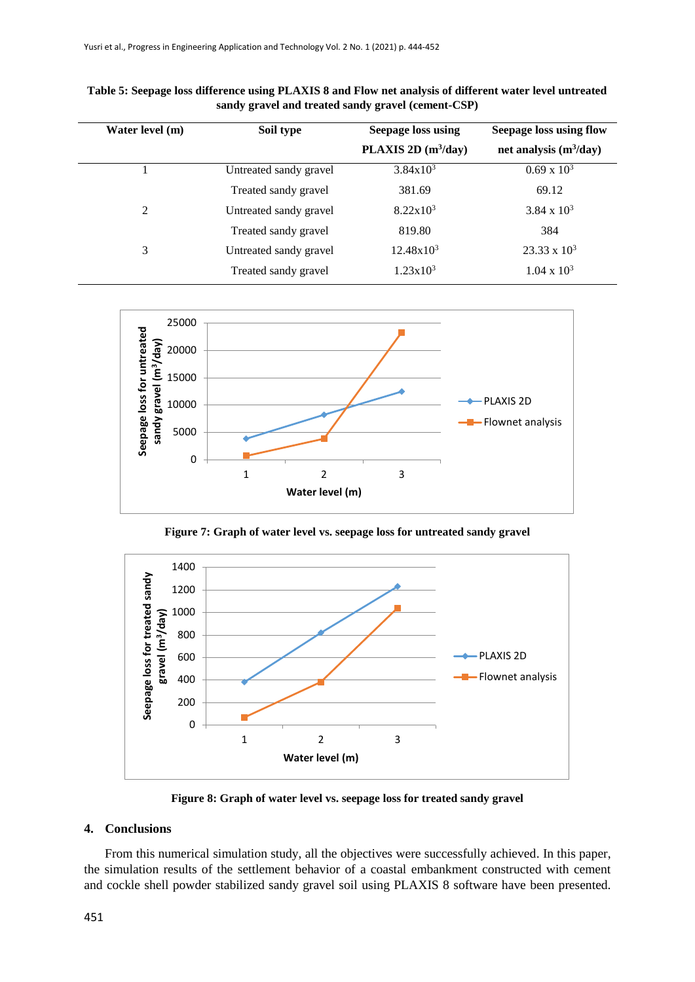| Water level (m) | Soil type              | <b>Seepage loss using</b> | <b>Seepage loss using flow</b> |  |
|-----------------|------------------------|---------------------------|--------------------------------|--|
|                 |                        | PLAXIS 2D $(m^3/day)$     | net analysis $(m^3/day)$       |  |
|                 | Untreated sandy gravel | $3.84 \times 10^3$        | $0.69 \times 10^{3}$           |  |
|                 | Treated sandy gravel   | 381.69                    | 69.12                          |  |
| 2               | Untreated sandy gravel | $8.22 \times 10^3$        | $3.84 \times 10^3$             |  |
|                 | Treated sandy gravel   | 819.80                    | 384                            |  |
| 3               | Untreated sandy gravel | $12.48x10^3$              | $23.33 \times 10^3$            |  |
|                 | Treated sandy gravel   | $1.23 \times 10^3$        | $1.04 \times 10^3$             |  |

**Table 5: Seepage loss difference using PLAXIS 8 and Flow net analysis of different water level untreated sandy gravel and treated sandy gravel (cement-CSP)**



**Figure 7: Graph of water level vs. seepage loss for untreated sandy gravel**



**Figure 8: Graph of water level vs. seepage loss for treated sandy gravel**

# **4. Conclusions**

From this numerical simulation study, all the objectives were successfully achieved. In this paper, the simulation results of the settlement behavior of a coastal embankment constructed with cement and cockle shell powder stabilized sandy gravel soil using PLAXIS 8 software have been presented.